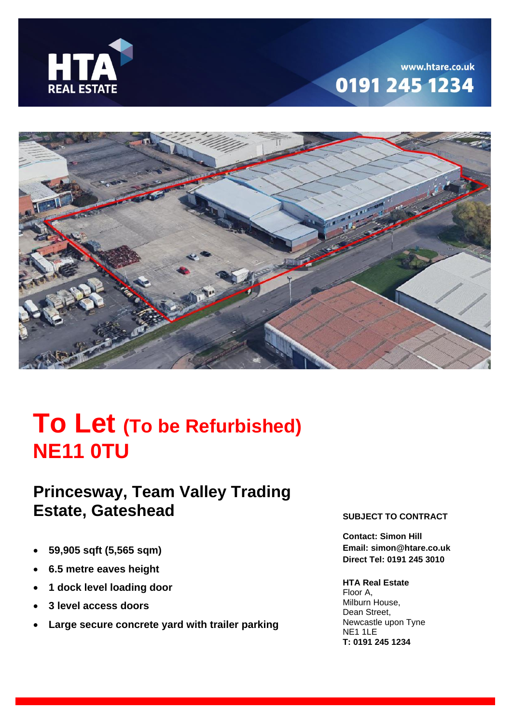

## www.htare.co.uk 0191 245 1234



# **To Let (To be Refurbished) NE11 0TU**

## **Princesway, Team Valley Trading Estate, Gateshead**

- **59,905 sqft (5,565 sqm)**
- **6.5 metre eaves height**
- **1 dock level loading door**
- **3 level access doors**
- **Large secure concrete yard with trailer parking**

#### **SUBJECT TO CONTRACT**

**Contact: Simon Hill Email: simon@htare.co.uk Direct Tel: 0191 245 3010**

#### **HTA Real Estate**

Floor A, Milburn House, Dean Street, Newcastle upon Tyne NE1 1LE **T: 0191 245 1234**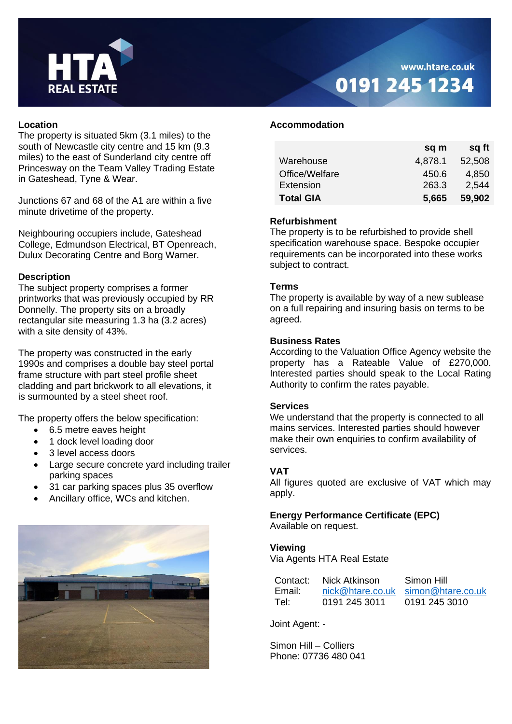

### www.htare.co.uk 0191 245 1234

#### **Location**

The property is situated 5km (3.1 miles) to the south of Newcastle city centre and 15 km (9.3 miles) to the east of Sunderland city centre off Princesway on the Team Valley Trading Estate in Gateshead, Tyne & Wear.

Junctions 67 and 68 of the A1 are within a five minute drivetime of the property.

Neighbouring occupiers include, Gateshead College, Edmundson Electrical, BT Openreach, Dulux Decorating Centre and Borg Warner.

#### **Description**

The subject property comprises a former printworks that was previously occupied by RR Donnelly. The property sits on a broadly rectangular site measuring 1.3 ha (3.2 acres) with a site density of 43%.

The property was constructed in the early 1990s and comprises a double bay steel portal frame structure with part steel profile sheet cladding and part brickwork to all elevations, it is surmounted by a steel sheet roof.

The property offers the below specification:

- 6.5 metre eaves height
- 1 dock level loading door
- 3 level access doors
- Large secure concrete yard including trailer parking spaces
- 31 car parking spaces plus 35 overflow
- Ancillary office, WCs and kitchen.



#### **Accommodation**

|                  | sq m    | sq ft  |
|------------------|---------|--------|
| Warehouse        | 4,878.1 | 52,508 |
| Office/Welfare   | 450.6   | 4,850  |
| Extension        | 263.3   | 2,544  |
| <b>Total GIA</b> | 5,665   | 59,902 |

#### **Refurbishment**

The property is to be refurbished to provide shell specification warehouse space. Bespoke occupier requirements can be incorporated into these works subject to contract.

#### **Terms**

The property is available by way of a new sublease on a full repairing and insuring basis on terms to be agreed.

#### **Business Rates**

According to the Valuation Office Agency website the property has a Rateable Value of £270,000. Interested parties should speak to the Local Rating Authority to confirm the rates payable.

#### **Services**

We understand that the property is connected to all mains services. Interested parties should however make their own enquiries to confirm availability of services.

#### **VAT**

All figures quoted are exclusive of VAT which may apply.

#### **Energy Performance Certificate (EPC)**

Available on request.

#### **Viewing**

Via Agents HTA Real Estate

| Contact: | Nick Atkinson | Simon Hill                         |
|----------|---------------|------------------------------------|
| Email:   |               | nick@htare.co.uk simon@htare.co.uk |
| Tel:     | 0191 245 3011 | 0191 245 3010                      |

Joint Agent: -

Simon Hill – Colliers Phone: 07736 480 041